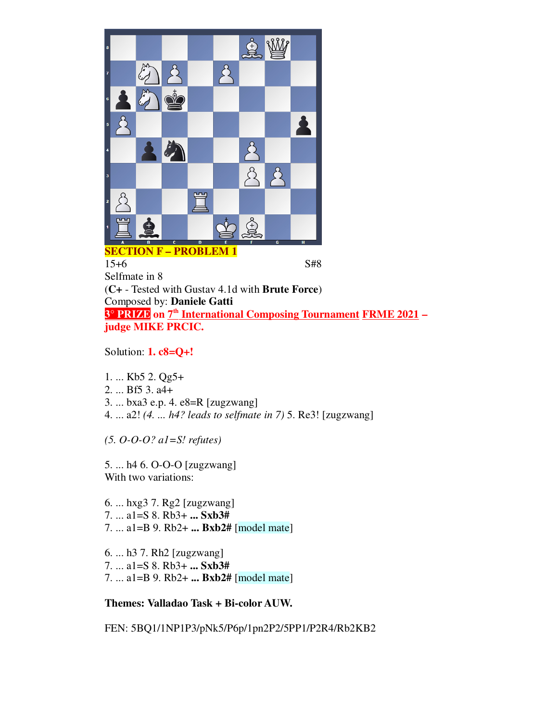

15+6 S#8 Selfmate in 8 (**C+** - Tested with Gustav 4.1d with **Brute Force**) Composed by: **Daniele Gatti 3° PRIZE on 7 th International Composing Tournament FRME 2021 – judge MIKE PRCIC.**

Solution: **1. c8=Q+!**

1. ... Kb5 2. Qg5+

2. ... Bf5 3. a4+

3. ... bxa3 e.p. 4. e8=R [zugzwang]

4. ... a2! *(4. ... h4? leads to selfmate in 7)* 5. Re3! [zugzwang]

*(5. O-O-O? a1=S! refutes)*

5. ... h4 6. O-O-O [zugzwang] With two variations:

6. ... hxg3 7. Rg2 [zugzwang] 7. ... a1=S 8. Rb3+ **... Sxb3#** 7. ... a1=B 9. Rb2+ **... Bxb2#** [model mate]

6. ... h3 7. Rh2 [zugzwang] 7. ... a1=S 8. Rb3+ **... Sxb3#** 7. ... a1=B 9. Rb2+ **... Bxb2#** [model mate]

**Themes: Valladao Task + Bi-color AUW.**

FEN: 5BQ1/1NP1P3/pNk5/P6p/1pn2P2/5PP1/P2R4/Rb2KB2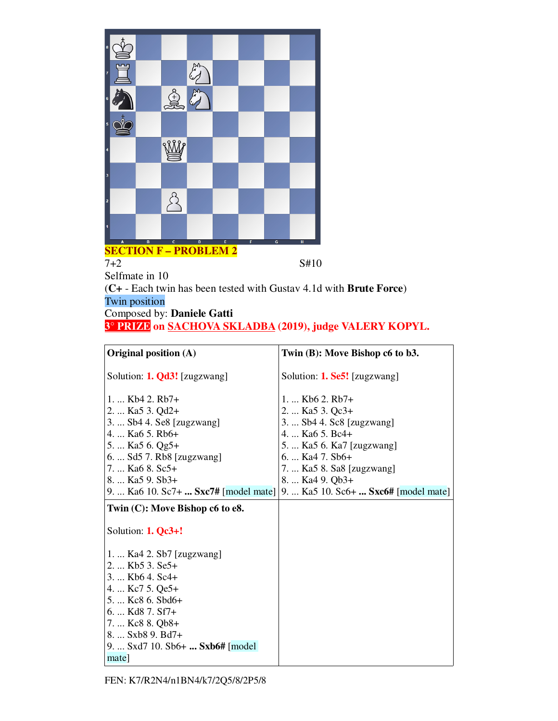

7+2 S#10

Selfmate in 10 (**C+** - Each twin has been tested with Gustav 4.1d with **Brute Force**) Twin position

# Composed by: **Daniele Gatti**

**3° PRIZE on SACHOVA SKLADBA (2019), judge VALERY KOPYL.**

| Original position (A)                                | Twin (B): Move Bishop c6 to b3.                                             |
|------------------------------------------------------|-----------------------------------------------------------------------------|
| Solution: 1. Qd3! [zugzwang]                         | Solution: 1. Se5! [zugzwang]                                                |
| 1.  Kb4 2. Rb7+                                      | 1.  Kb6 2. Rb7+                                                             |
| 2.  Ka5 3. Qd2+                                      | 2.  Ka5 3. Qc3+                                                             |
| 3.  Sb4 4. Se8 [zugzwang]<br>4.  Ka6 5. Rb6+         | 3.  Sb4 4. Sc8 [zugzwang]<br>4.  Ka6 5. Bc4+                                |
| 5.  Ka5 6. Qg5+                                      | 5.  Ka5 6. Ka7 [zugzwang]                                                   |
| 6.  Sd5 7. Rb8 [zugzwang]                            | 6. $Ka4$ 7. $Sb6+$                                                          |
| 7.  Ka6 8. Sc5+                                      | 7.  Ka5 8. Sa8 [zugzwang]                                                   |
| 8.  Ka5 9. Sb3+                                      | 8.  Ka4 9. Qb3+                                                             |
|                                                      | 9.  Ka6 10. Sc7+  Sxc7# [model mate]   9.  Ka5 10. Sc6+  Sxc6# [model mate] |
| Twin $(C)$ : Move Bishop c6 to e8.                   |                                                                             |
| Solution: 1. Qc3+!                                   |                                                                             |
| 1.  Ka4 2. Sb7 [zugzwang]                            |                                                                             |
| 2.  Kb5 3. Se5+                                      |                                                                             |
| 3.  Kb6 4. Sc4+                                      |                                                                             |
| 4.  Kc7 5. Qe5+                                      |                                                                             |
| 5.  Kc8 6. Sbd6+                                     |                                                                             |
| 6.  Kd8 7. Sf7+                                      |                                                                             |
| 7.  Kc8 8. Qb8+                                      |                                                                             |
| 8.  Sxb8 9. Bd7+<br>9.  Sxd7 10. Sb6+  Sxb6# [model] |                                                                             |
| mate                                                 |                                                                             |
|                                                      |                                                                             |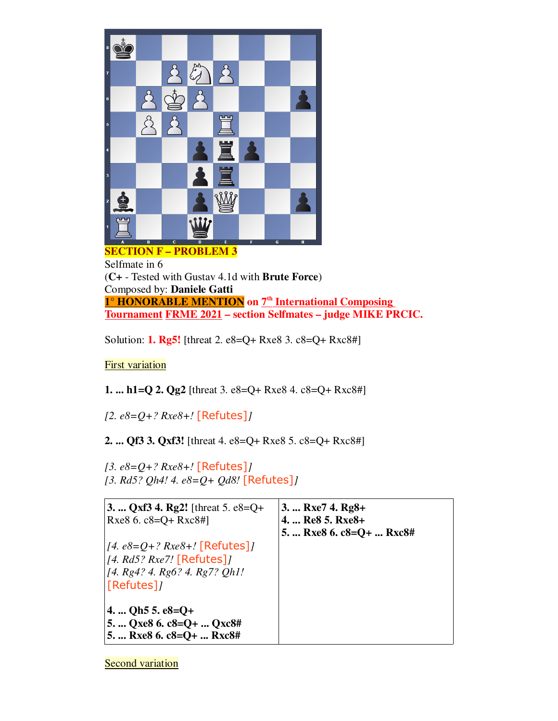

**SECTION F – PROBLEM 3** Selfmate in 6 (**C+** - Tested with Gustav 4.1d with **Brute Force**) Composed by: **Daniele Gatti 1° HONORABLE MENTION on 7 th International Composing Tournament FRME 2021 – section Selfmates – judge MIKE PRCIC.**

Solution: **1. Rg5!** [threat 2. e8=Q+ Rxe8 3. c8=Q+ Rxc8#]

**First variation** 

**1. ... h1=Q 2. Qg2** [threat 3. e8=Q+ Rxe8 4. c8=Q+ Rxc8#]

*[2. e8=Q+? Rxe8+!* [Refutes]*]*

**2. ... Qf3 3. Qxf3!** [threat 4. e8=Q+ Rxe8 5. c8=Q+ Rxc8#]

*[3. e8=Q+? Rxe8+!* [Refutes]*] [3. Rd5? Qh4! 4. e8=Q+ Qd8!* [Refutes]*]*

| 3.  Qxf3 4. Rg2! [threat 5. e8=Q+ | 3. $Rxe7$ 4. $Rg8+$      |
|-----------------------------------|--------------------------|
| Rxe8 6. $c8 = Q + Rxc8 \#$        | 4.  Re8 5. Rxe8+         |
|                                   | 5.  Rxe8 6. c8=Q+  Rxc8# |
| $[4. e8=Q+? Rxe8+.] [Refutes]$    |                          |
| [4. Rd5? Rxe7! [Refutes]]         |                          |
| [4. Rg4? 4. Rg6? 4. Rg7? Qh1!]    |                          |
| [Refutes]                         |                          |
|                                   |                          |
| 4.  Qh5 5. $e8=Q+$                |                          |
| 5.  Qxe8 6. $c8=Q+$ Qxc8#         |                          |
| 5.  Rxe8 6. $c8=Q+$ Rxc8#         |                          |

**Second variation**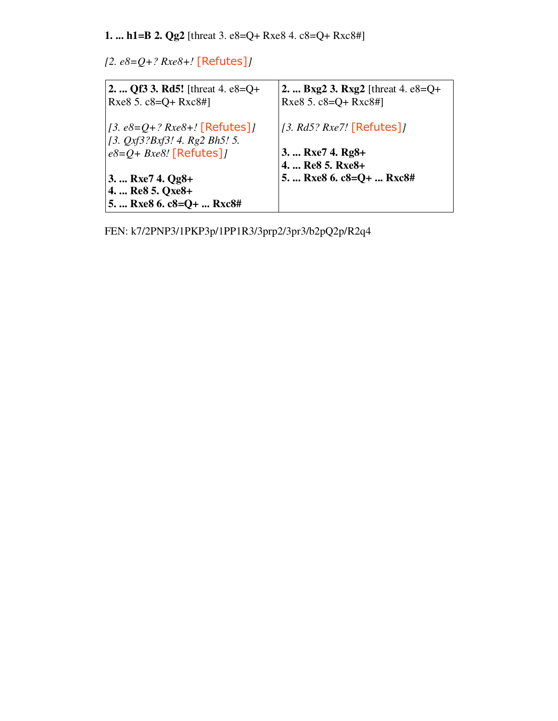**1. ... h1=B 2. Qg2** [threat 3. e8=Q+ Rxe8 4. c8=Q+ Rxc8#]

*[2. e8=Q+? Rxe8+!* [Refutes]*]*

| 2.  Qf3 3. Rd5! [threat 4. $e8=Q+$<br>Rxe8 5. $c8 = Q + Rxc8 \#$    | 2. $Bxg2$ 3. $Rxg2$ [threat 4. e8=Q+<br>Rxe8 5. c8=Q+ Rxc8#] |
|---------------------------------------------------------------------|--------------------------------------------------------------|
| $[3. e8=Q+? Rxe8+.] [Refutes]$<br>[3. $Qxf3?Bxf3!$ 4. Rg2 Bh5! 5.   | [3. Rd5? Rxe7! $[Refutes]$ ]                                 |
| $e8 = Q + Bxe8$ ! [Refutes]]                                        | 3.  Rxe7 4. Rg8+<br>4.  Re8 5. Rxe8+                         |
| 3. $Rxe7$ 4. $Qg8+$<br>4.  Re8 5. Qxe8+<br>5.  Rxe8 6. c8=Q+  Rxc8# | 5.  Rxe8 6. c8=Q+  Rxc8#                                     |

FEN: k7/2PNP3/1PKP3p/1PP1R3/3prp2/3pr3/b2pQ2p/R2q4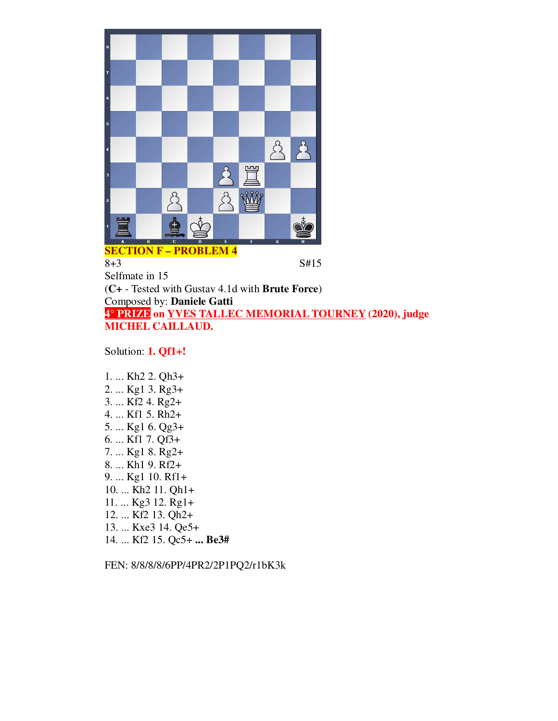

8+3 S#15 Selfmate in 15 (**C+** - Tested with Gustav 4.1d with **Brute Force**) Composed by: **Daniele Gatti 4° PRIZE on YVES TALLEC MEMORIAL TOURNEY (2020), judge MICHEL CAILLAUD.**

Solution: **1. Qf1+!**

1. ... Kh2 2. Qh3+ 2. ... Kg1 3. Rg3+ 3. ... Kf2 4. Rg2+ 4. ... Kf1 5. Rh2+ 5. ... Kg1 6. Qg3+ 6. ... Kf1 7. Qf3+ 7. ... Kg1 8. Rg2+ 8. ... Kh1 9. Rf2+ 9. ... Kg1 10. Rf1+ 10. ... Kh2 11. Qh1+ 11. ... Kg3 12. Rg1+ 12. ... Kf2 13. Qh2+ 13. ... Kxe3 14. Qe5+ 14. ... Kf2 15. Qc5+ **... Be3#**

FEN: 8/8/8/8/6PP/4PR2/2P1PQ2/r1bK3k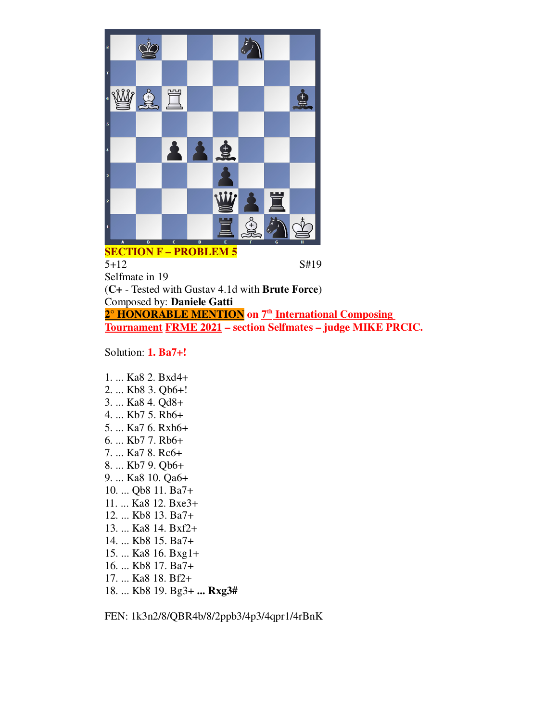

5+12 S#19 Selfmate in 19 (**C+** - Tested with Gustav 4.1d with **Brute Force**) Composed by: **Daniele Gatti 2° HONORABLE MENTION on 7 th International Composing Tournament FRME 2021 – section Selfmates – judge MIKE PRCIC.**

Solution: **1. Ba7+!**

1. ... Ka8 2. Bxd4+ 2. ... Kb8 3. Qb6+! 3. ... Ka8 4. Qd8+ 4. ... Kb7 5. Rb6+ 5. ... Ka7 6. Rxh6+ 6. ... Kb7 7. Rb6+ 7. ... Ka7 8. Rc6+ 8. ... Kb7 9. Qb6+ 9. ... Ka8 10. Qa6+ 10. ... Qb8 11. Ba7+ 11. ... Ka8 12. Bxe3+ 12. ... Kb8 13. Ba7+ 13. ... Ka8 14. Bxf2+ 14. ... Kb8 15. Ba7+ 15. ... Ka8 16. Bxg1+ 16. ... Kb8 17. Ba7+ 17. ... Ka8 18. Bf2+ 18. ... Kb8 19. Bg3+ **... Rxg3#**

FEN: 1k3n2/8/QBR4b/8/2ppb3/4p3/4qpr1/4rBnK